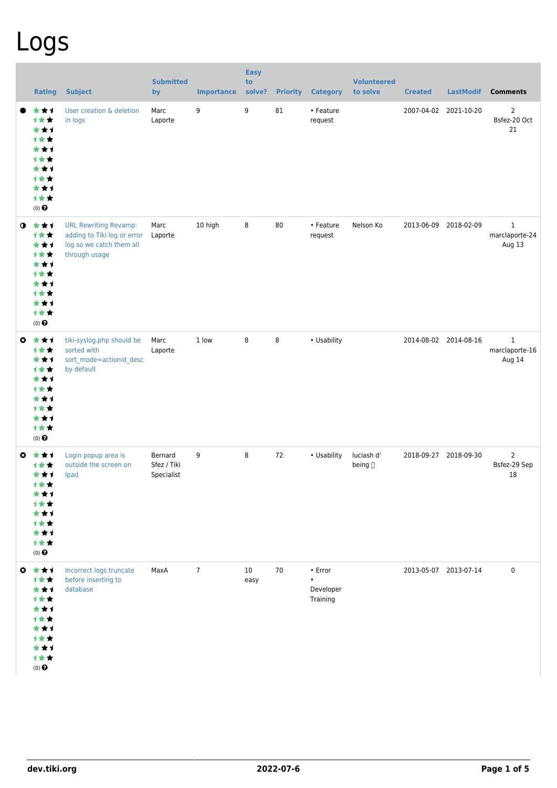## Logs

|              | <b>Rating</b>                                                                                                                | <b>Subject</b>                                                                                           | <b>Submitted</b><br>by               | <b>Importance</b> | <b>Easy</b><br>to<br>solve? | <b>Priority</b> | <b>Category</b>                                       | <b>Volunteered</b><br>to solve | <b>Created</b>        | <b>LastModif</b>      | <b>Comments</b>                          |
|--------------|------------------------------------------------------------------------------------------------------------------------------|----------------------------------------------------------------------------------------------------------|--------------------------------------|-------------------|-----------------------------|-----------------|-------------------------------------------------------|--------------------------------|-----------------------|-----------------------|------------------------------------------|
|              | ***<br>计女女<br>***<br><b>1**</b><br>***<br><b>1**</b><br>***<br><b>1**</b><br>***<br>计女女<br>$(0)$ $\Theta$                    | User creation & deletion<br>in logs                                                                      | Marc<br>Laporte                      | 9                 | 9                           | 81              | • Feature<br>request                                  |                                |                       | 2007-04-02 2021-10-20 | 2<br>Bsfez-20 Oct<br>21                  |
| $\mathbf 0$  | 大大士<br>计女女<br>***<br>计女女<br>***<br>计女女<br>***<br><b>1**</b><br>***<br>计女女<br>(0) $\pmb{\Theta}$                              | <b>URL Rewriting Revamp:</b><br>adding to Tiki log or error<br>log so we catch them all<br>through usage | Marc<br>Laporte                      | 10 high           | 8                           | 80              | • Feature<br>request                                  | Nelson Ko                      | 2013-06-09            | 2018-02-09            | $\mathbf{1}$<br>marclaporte-24<br>Aug 13 |
| $\mathbf{c}$ | 大女子<br>计女女<br>***<br>计女女<br>***<br>1★★<br>***<br>1★★<br>***<br>计女女<br>$(0)$ $\bigodot$                                       | tiki-syslog.php should be<br>sorted with<br>sort_mode=actionid_desc<br>by default                        | Marc<br>Laporte                      | 1 low             | 8                           | 8               | • Usability                                           |                                |                       | 2014-08-02 2014-08-16 | $\mathbf{1}$<br>marclaporte-16<br>Aug 14 |
| O            | ***<br><b>1**</b><br>***<br>计女食<br>***<br>1 * *<br>* * 1<br>计女女<br>***<br>1★★<br>$(0)$<br>$\pmb{\Theta}$                     | Login popup area is<br>outside the screen on<br>Ipad                                                     | Bernard<br>Sfez / Tiki<br>Specialist | 9                 | 8                           | 72              | • Usability                                           | luciash d'<br>being []         | 2018-09-27 2018-09-30 |                       | $\overline{2}$<br>Bsfez-29 Sep<br>18     |
|              | $0$ $\star$ $\star$ $\star$<br>计女女<br>***<br>计女女<br>***<br>计女女<br>***<br><b>1**</b><br>★★1<br>计女女<br>$(0)$<br>$\pmb{\Theta}$ | Incorrect logs truncate<br>before inserting to<br>database                                               | MaxA                                 | $7\overline{ }$   | 10<br>easy                  | 70              | $\bullet$ Error<br>$\bullet$<br>Developer<br>Training |                                |                       | 2013-05-07 2013-07-14 | $\mathbf 0$                              |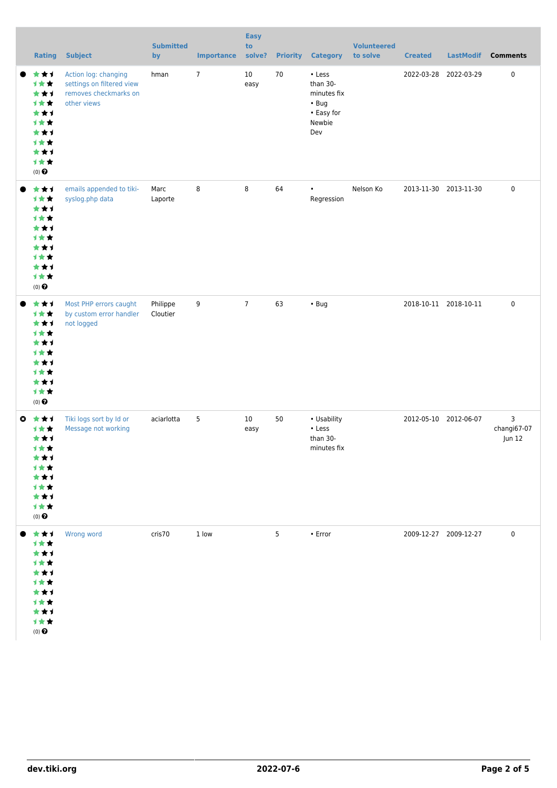|           | <b>Rating</b>                                                                                        | <b>Subject</b>                                                                            | <b>Submitted</b><br>by | <b>Importance</b> | <b>Easy</b><br>to<br>solve? | <b>Priority</b> | <b>Category</b>                                                                 | <b>Volunteered</b><br>to solve | <b>Created</b>        | <b>LastModif</b>      | <b>Comments</b>            |
|-----------|------------------------------------------------------------------------------------------------------|-------------------------------------------------------------------------------------------|------------------------|-------------------|-----------------------------|-----------------|---------------------------------------------------------------------------------|--------------------------------|-----------------------|-----------------------|----------------------------|
|           | ***<br>计女女<br>***<br><b>1**</b><br>***<br>1★★<br>***<br><b>1**</b><br>***<br>1★★<br>$(0)$ $\bigodot$ | Action log: changing<br>settings on filtered view<br>removes checkmarks on<br>other views | hman                   | $\overline{7}$    | 10<br>easy                  | 70              | • Less<br>than 30-<br>minutes fix<br>$\cdot$ Bug<br>• Easy for<br>Newbie<br>Dev |                                | 2022-03-28 2022-03-29 |                       | $\pmb{0}$                  |
|           | ***<br>1★★<br>***<br>***<br>***<br><b>1**</b><br>***<br>1★★<br>***<br>计女女<br>(0) $\pmb{\Theta}$      | emails appended to tiki-<br>syslog.php data                                               | Marc<br>Laporte        | 8                 | 8                           | 64              | $\bullet$<br>Regression                                                         | Nelson Ko                      |                       | 2013-11-30 2013-11-30 | $\pmb{0}$                  |
|           | ***<br>计女女<br>***<br>1★★<br>***<br>1★★<br>***<br>1★★<br>***<br>计女女<br>(0) $\pmb{\Theta}$             | Most PHP errors caught<br>by custom error handler<br>not logged                           | Philippe<br>Cloutier   | 9                 | $\overline{7}$              | 63              | $\cdot$ Bug                                                                     |                                |                       | 2018-10-11 2018-10-11 | $\pmb{0}$                  |
| $\bullet$ | ***<br>1★★<br>***<br>计女女<br>***<br><b>1**</b><br>***<br>计女女<br>***<br>1★★<br>$(0)$ $\pmb{\Theta}$    | Tiki logs sort by Id or<br>Message not working                                            | aciarlotta             | 5                 | 10<br>easy                  | 50              | • Usability<br>• Less<br>than 30-<br>minutes fix                                |                                | 2012-05-10 2012-06-07 |                       | 3<br>changi67-07<br>Jun 12 |
|           | 食食す<br>1女女<br>***<br>计女女<br>***<br>计女女<br>***<br>计女女<br>***<br>计女女<br>$(0)$<br>$\pmb{\Theta}$        | Wrong word                                                                                | cris70                 | 1 low             |                             | $5\overline{)}$ | $\cdot$ Error                                                                   |                                | 2009-12-27 2009-12-27 |                       | $\mathbf 0$                |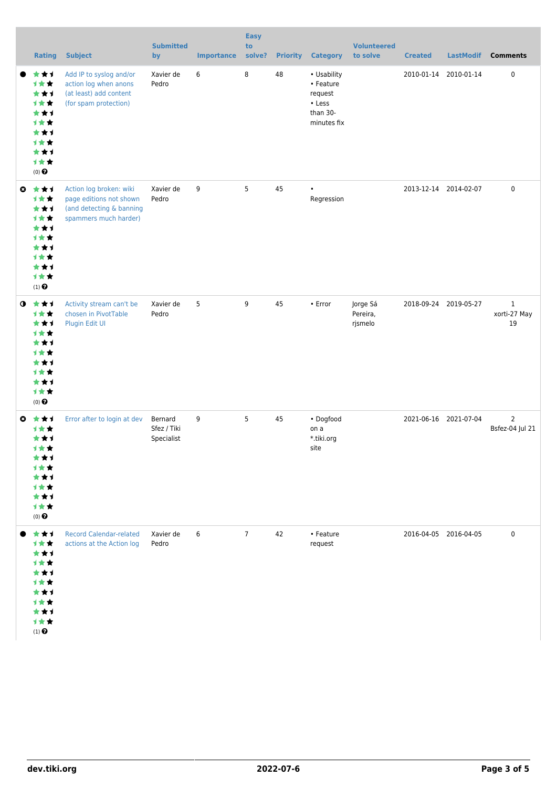|           | <b>Rating</b>                                                                                        | <b>Subject</b>                                                                                          | <b>Submitted</b><br>by               | <b>Importance</b> | <b>Easy</b><br>to<br>solve? | <b>Priority</b> | <b>Category</b>                                                          | <b>Volunteered</b><br>to solve  | <b>Created</b> | <b>LastModif</b>      | <b>Comments</b>                    |
|-----------|------------------------------------------------------------------------------------------------------|---------------------------------------------------------------------------------------------------------|--------------------------------------|-------------------|-----------------------------|-----------------|--------------------------------------------------------------------------|---------------------------------|----------------|-----------------------|------------------------------------|
|           | ***<br>计女女<br>***<br>计女女<br>***<br>1★★<br>***<br><b>1**</b><br>***<br>***<br>$(0)$ $\bigodot$        | Add IP to syslog and/or<br>action log when anons<br>(at least) add content<br>(for spam protection)     | Xavier de<br>Pedro                   | 6                 | 8                           | 48              | • Usability<br>• Feature<br>request<br>• Less<br>than 30-<br>minutes fix |                                 |                | 2010-01-14 2010-01-14 | 0                                  |
| $\bullet$ | ***<br>1★★<br>***<br>1★★<br>***<br><b>1**</b><br>***<br>1★★<br>***<br>1★★<br>$(1)$<br>$\pmb{\Theta}$ | Action log broken: wiki<br>page editions not shown<br>(and detecting & banning<br>spammers much harder) | Xavier de<br>Pedro                   | 9                 | 5                           | 45              | $\bullet$<br>Regression                                                  |                                 |                | 2013-12-14 2014-02-07 | 0                                  |
| $\bullet$ | ***<br>1★★<br>***<br>1★★<br>***<br>1★★<br>***<br>计女女<br>***<br>1★★<br>$(0)$ $\bigodot$               | Activity stream can't be<br>chosen in PivotTable<br>Plugin Edit UI                                      | Xavier de<br>Pedro                   | 5                 | 9                           | 45              | $\cdot$ Error                                                            | Jorge Sá<br>Pereira,<br>rjsmelo |                | 2018-09-24 2019-05-27 | $\mathbf{1}$<br>xorti-27 May<br>19 |
| O         | ***<br><b>1**</b><br>***<br>计女会<br>***<br>1 * *<br>***<br>计女女<br>***<br>计女女<br>$(0)$ $\odot$         | Error after to login at dev                                                                             | Bernard<br>Sfez / Tiki<br>Specialist | 9                 | 5                           | 45              | • Dogfood<br>on a<br>*.tiki.org<br>site                                  |                                 |                | 2021-06-16 2021-07-04 | $\overline{2}$<br>Bsfez-04 Jul 21  |
|           | ***<br>1★★<br>***<br>计女女<br>***<br>计女女<br>***<br>计女女<br>***<br>计女女<br>$(1)$<br>$\pmb{\Theta}$        | <b>Record Calendar-related</b><br>actions at the Action log                                             | Xavier de<br>Pedro                   | 6                 | $7\overline{ }$             | 42              | • Feature<br>request                                                     |                                 |                | 2016-04-05 2016-04-05 | 0                                  |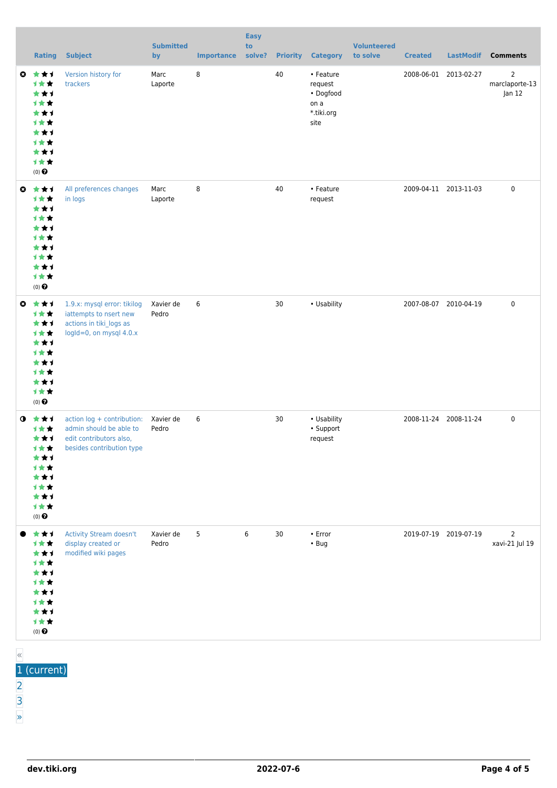|           | <b>Rating</b>                                                                                        | <b>Subject</b>                                                                                                | <b>Submitted</b><br>by | <b>Importance</b> | <b>Easy</b><br>to<br>solve? | <b>Priority</b> | <b>Category</b>                                                 | <b>Volunteered</b><br>to solve | <b>Created</b> | <b>LastModif</b>      | <b>Comments</b>                            |
|-----------|------------------------------------------------------------------------------------------------------|---------------------------------------------------------------------------------------------------------------|------------------------|-------------------|-----------------------------|-----------------|-----------------------------------------------------------------|--------------------------------|----------------|-----------------------|--------------------------------------------|
| $\bullet$ | ***<br><b>1**</b><br>***<br>计女女<br>***<br><b>1**</b><br>***<br>计女女<br>***<br>计女女<br>$(0)$ $\bigodot$ | Version history for<br>trackers                                                                               | Marc<br>Laporte        | 8                 |                             | 40              | • Feature<br>request<br>• Dogfood<br>on a<br>*.tiki.org<br>site |                                |                | 2008-06-01 2013-02-27 | $\overline{2}$<br>marclaporte-13<br>Jan 12 |
| $\bullet$ | ***<br>计女女<br>***<br>计女女<br>***<br>计女女<br>***<br>计女女<br>***<br>计女女<br>$(0)$ $\odot$                  | All preferences changes<br>in logs                                                                            | Marc<br>Laporte        | 8                 |                             | 40              | • Feature<br>request                                            |                                |                | 2009-04-11 2013-11-03 | 0                                          |
| $\bullet$ | ***<br>1★★<br>***<br>计女女<br>***<br>1★★<br>***<br><b>1**</b><br>***<br>计女女<br>$(0)$ $\odot$           | 1.9.x: mysql error: tikilog<br>iattempts to nsert new<br>actions in tiki_logs as<br>logId=0, on mysql 4.0.x   | Xavier de<br>Pedro     | 6                 |                             | 30              | • Usability                                                     |                                |                | 2007-08-07 2010-04-19 | 0                                          |
| $\bullet$ | 食食す<br>1★★<br>***<br>计女女<br>***<br><b>1**</b><br>***<br>计女女<br>***<br>1★★<br>(0) $\pmb{\Theta}$      | action log + contribution:<br>admin should be able to<br>edit contributors also,<br>besides contribution type | Xavier de<br>Pedro     | 6                 |                             | 30              | • Usability<br>• Support<br>request                             |                                |                | 2008-11-24 2008-11-24 | 0                                          |
| $\ll$     | ***<br>计女女<br>***<br>1★★<br>***<br>计女女<br>***<br>1★★<br>***<br>计女女<br>$(0)$ $\odot$                  | Activity Stream doesn't<br>display created or<br>modified wiki pages                                          | Xavier de<br>Pedro     | 5                 | 6                           | 30              | $\bullet$ Error<br>$\cdot$ Bug                                  |                                |                | 2019-07-19 2019-07-19 | $\overline{2}$<br>xavi-21 Jul 19           |

- 1 (current)
- [2](https://dev.tiki.org/tiki-print.php?page=Logs&tr_offset1=20)
- [3](https://dev.tiki.org/tiki-print.php?page=Logs&tr_offset1=40)
- 

[»](https://dev.tiki.org/tiki-print.php?page=Logs&tr_offset1=20)